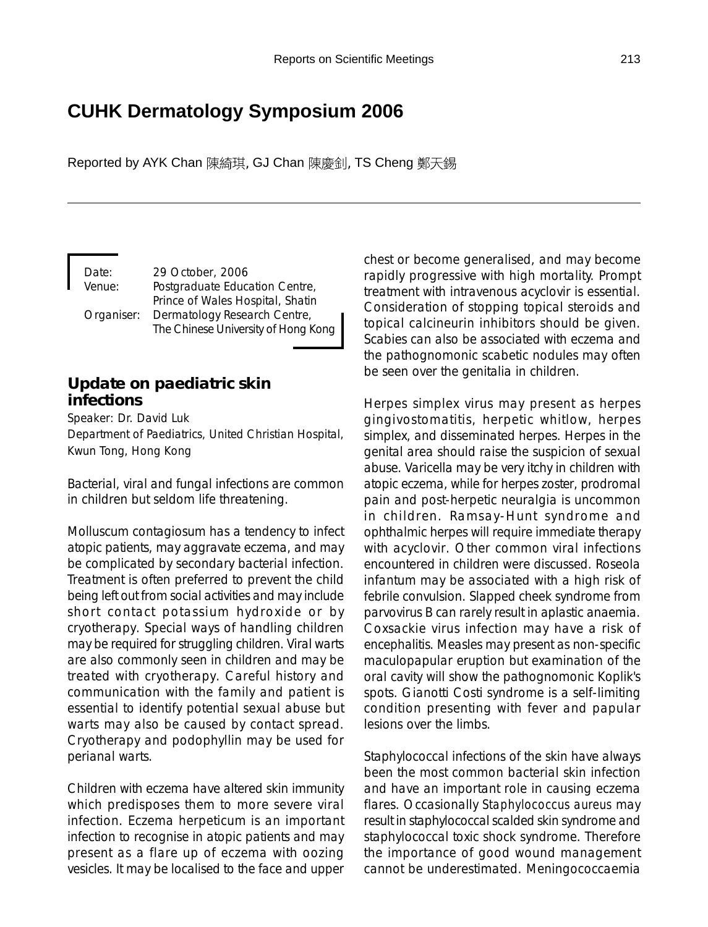# **CUHK Dermatology Symposium 2006**

Reported by AYK Chan 陳綺琪, GJ Chan 陳慶釗, TS Cheng 鄭天錫

Date: 29 October, 2006 Venue: Postgraduate Education Centre, Prince of Wales Hospital, Shatin Organiser: Dermatology Research Centre, The Chinese University of Hong Kong

### **Update on paediatric skin infections**

Speaker: Dr. David Luk Department of Paediatrics, United Christian Hospital, Kwun Tong, Hong Kong

Bacterial, viral and fungal infections are common in children but seldom life threatening.

Molluscum contagiosum has a tendency to infect atopic patients, may aggravate eczema, and may be complicated by secondary bacterial infection. Treatment is often preferred to prevent the child being left out from social activities and may include short contact potassium hydroxide or by cryotherapy. Special ways of handling children may be required for struggling children. Viral warts are also commonly seen in children and may be treated with cryotherapy. Careful history and communication with the family and patient is essential to identify potential sexual abuse but warts may also be caused by contact spread. Cryotherapy and podophyllin may be used for perianal warts.

Children with eczema have altered skin immunity which predisposes them to more severe viral infection. Eczema herpeticum is an important infection to recognise in atopic patients and may present as a flare up of eczema with oozing vesicles. It may be localised to the face and upper

chest or become generalised, and may become rapidly progressive with high mortality. Prompt treatment with intravenous acyclovir is essential. Consideration of stopping topical steroids and topical calcineurin inhibitors should be given. Scabies can also be associated with eczema and the pathognomonic scabetic nodules may often be seen over the genitalia in children.

Herpes simplex virus may present as herpes gingivostomatitis, herpetic whitlow, herpes simplex, and disseminated herpes. Herpes in the genital area should raise the suspicion of sexual abuse. Varicella may be very itchy in children with atopic eczema, while for herpes zoster, prodromal pain and post-herpetic neuralgia is uncommon in children. Ramsay-Hunt syndrome and ophthalmic herpes will require immediate therapy with acyclovir. Other common viral infections encountered in children were discussed. Roseola infantum may be associated with a high risk of febrile convulsion. Slapped cheek syndrome from parvovirus B can rarely result in aplastic anaemia. Coxsackie virus infection may have a risk of encephalitis. Measles may present as non-specific maculopapular eruption but examination of the oral cavity will show the pathognomonic Koplik's spots. Gianotti Costi syndrome is a self-limiting condition presenting with fever and papular lesions over the limbs.

Staphylococcal infections of the skin have always been the most common bacterial skin infection and have an important role in causing eczema flares. Occasionally *Staphylococcus aureus* may result in staphylococcal scalded skin syndrome and staphylococcal toxic shock syndrome. Therefore the importance of good wound management cannot be underestimated. Meningococcaemia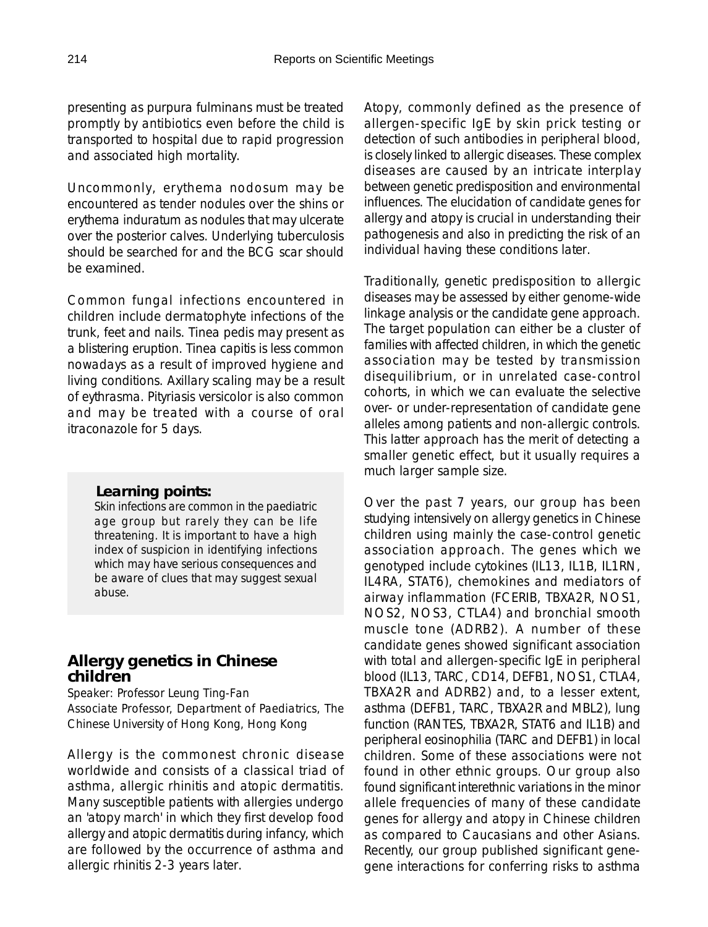presenting as purpura fulminans must be treated promptly by antibiotics even before the child is transported to hospital due to rapid progression and associated high mortality.

Uncommonly, erythema nodosum may be encountered as tender nodules over the shins or erythema induratum as nodules that may ulcerate over the posterior calves. Underlying tuberculosis should be searched for and the BCG scar should be examined.

Common fungal infections encountered in children include dermatophyte infections of the trunk, feet and nails. Tinea pedis may present as a blistering eruption. Tinea capitis is less common nowadays as a result of improved hygiene and living conditions. Axillary scaling may be a result of eythrasma. Pityriasis versicolor is also common and may be treated with a course of oral itraconazole for 5 days.

#### *Learning points:*

Skin infections are common in the paediatric age group but rarely they can be life threatening. It is important to have a high index of suspicion in identifying infections which may have serious consequences and be aware of clues that may suggest sexual abuse.

### **Allergy genetics in Chinese children**

Speaker: Professor Leung Ting-Fan Associate Professor, Department of Paediatrics, The Chinese University of Hong Kong, Hong Kong

Allergy is the commonest chronic disease worldwide and consists of a classical triad of asthma, allergic rhinitis and atopic dermatitis. Many susceptible patients with allergies undergo an 'atopy march' in which they first develop food allergy and atopic dermatitis during infancy, which are followed by the occurrence of asthma and allergic rhinitis 2-3 years later.

Atopy, commonly defined as the presence of allergen-specific IgE by skin prick testing or detection of such antibodies in peripheral blood, is closely linked to allergic diseases. These complex diseases are caused by an intricate interplay between genetic predisposition and environmental influences. The elucidation of candidate genes for allergy and atopy is crucial in understanding their pathogenesis and also in predicting the risk of an individual having these conditions later.

Traditionally, genetic predisposition to allergic diseases may be assessed by either genome-wide linkage analysis or the candidate gene approach. The target population can either be a cluster of families with affected children, in which the genetic association may be tested by transmission disequilibrium, or in unrelated case-control cohorts, in which we can evaluate the selective over- or under-representation of candidate gene alleles among patients and non-allergic controls. This latter approach has the merit of detecting a smaller genetic effect, but it usually requires a much larger sample size.

Over the past 7 years, our group has been studying intensively on allergy genetics in Chinese children using mainly the case-control genetic association approach. The genes which we genotyped include cytokines (IL13, IL1B, IL1RN, IL4RA, STAT6), chemokines and mediators of airway inflammation (FCERIB, TBXA2R, NOS1, NOS2, NOS3, CTLA4) and bronchial smooth muscle tone (ADRB2). A number of these candidate genes showed significant association with total and allergen-specific IgE in peripheral blood (IL13, TARC, CD14, DEFB1, NOS1, CTLA4, TBXA2R and ADRB2) and, to a lesser extent, asthma (DEFB1, TARC, TBXA2R and MBL2), lung function (RANTES, TBXA2R, STAT6 and IL1B) and peripheral eosinophilia (TARC and DEFB1) in local children. Some of these associations were not found in other ethnic groups. Our group also found significant interethnic variations in the minor allele frequencies of many of these candidate genes for allergy and atopy in Chinese children as compared to Caucasians and other Asians. Recently, our group published significant genegene interactions for conferring risks to asthma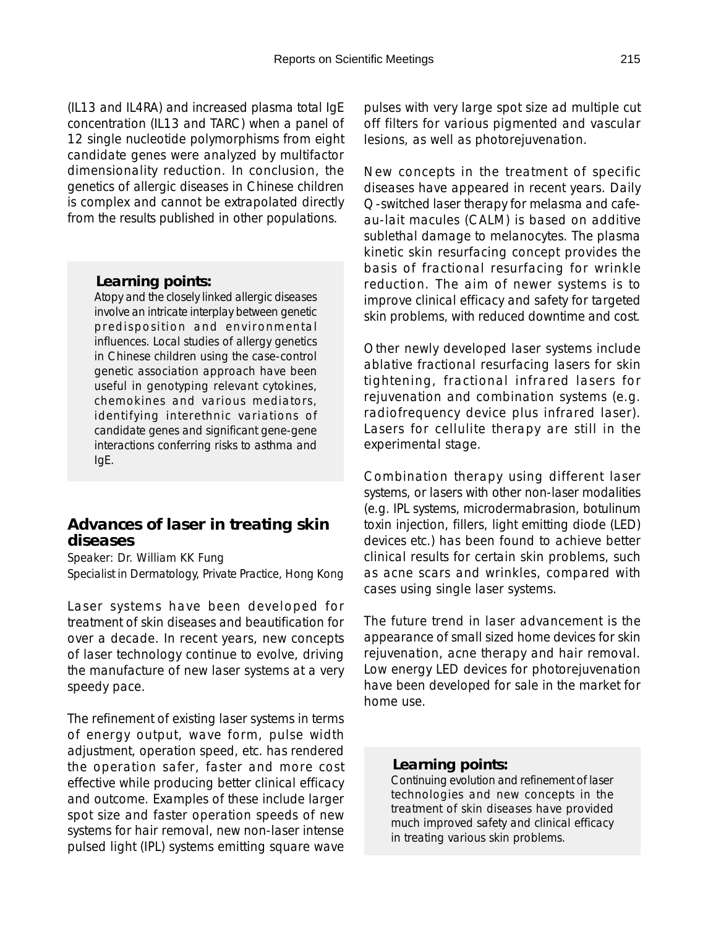(IL13 and IL4RA) and increased plasma total IgE concentration (IL13 and TARC) when a panel of 12 single nucleotide polymorphisms from eight candidate genes were analyzed by multifactor dimensionality reduction. In conclusion, the genetics of allergic diseases in Chinese children is complex and cannot be extrapolated directly from the results published in other populations.

#### *Learning points:*

Atopy and the closely linked allergic diseases involve an intricate interplay between genetic predisposition and environmental influences. Local studies of allergy genetics in Chinese children using the case-control genetic association approach have been useful in genotyping relevant cytokines, chemokines and various mediators, identifying interethnic variations of candidate genes and significant gene-gene interactions conferring risks to asthma and IgE.

### **Advances of laser in treating skin diseases**

Speaker: Dr. William KK Fung Specialist in Dermatology, Private Practice, Hong Kong

Laser systems have been developed for treatment of skin diseases and beautification for over a decade. In recent years, new concepts of laser technology continue to evolve, driving the manufacture of new laser systems at a very speedy pace.

The refinement of existing laser systems in terms of energy output, wave form, pulse width adjustment, operation speed, etc. has rendered the operation safer, faster and more cost effective while producing better clinical efficacy and outcome. Examples of these include larger spot size and faster operation speeds of new systems for hair removal, new non-laser intense pulsed light (IPL) systems emitting square wave pulses with very large spot size ad multiple cut off filters for various pigmented and vascular lesions, as well as photorejuvenation.

New concepts in the treatment of specific diseases have appeared in recent years. Daily Q-switched laser therapy for melasma and cafeau-lait macules (CALM) is based on additive sublethal damage to melanocytes. The plasma kinetic skin resurfacing concept provides the basis of fractional resurfacing for wrinkle reduction. The aim of newer systems is to improve clinical efficacy and safety for targeted skin problems, with reduced downtime and cost.

Other newly developed laser systems include ablative fractional resurfacing lasers for skin tightening, fractional infrared lasers for rejuvenation and combination systems (e.g. radiofrequency device plus infrared laser). Lasers for cellulite therapy are still in the experimental stage.

Combination therapy using different laser systems, or lasers with other non-laser modalities (e.g. IPL systems, microdermabrasion, botulinum toxin injection, fillers, light emitting diode (LED) devices etc.) has been found to achieve better clinical results for certain skin problems, such as acne scars and wrinkles, compared with cases using single laser systems.

The future trend in laser advancement is the appearance of small sized home devices for skin rejuvenation, acne therapy and hair removal. Low energy LED devices for photorejuvenation have been developed for sale in the market for home use.

#### *Learning points:*

Continuing evolution and refinement of laser technologies and new concepts in the treatment of skin diseases have provided much improved safety and clinical efficacy in treating various skin problems.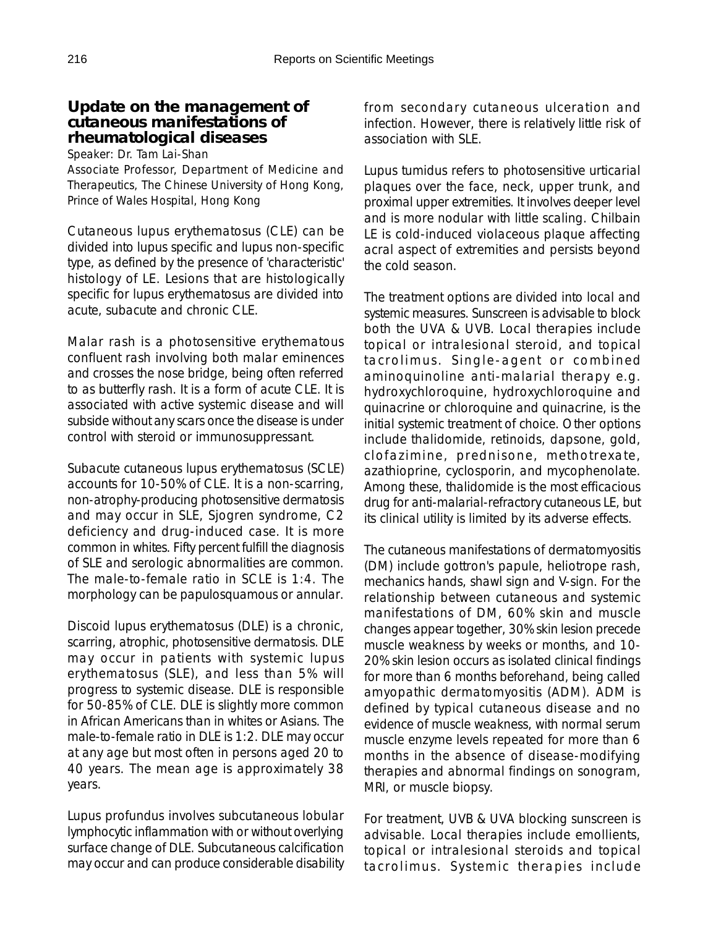### **Update on the management of cutaneous manifestations of rheumatological diseases**

Speaker: Dr. Tam Lai-Shan

Associate Professor, Department of Medicine and Therapeutics, The Chinese University of Hong Kong, Prince of Wales Hospital, Hong Kong

Cutaneous lupus erythematosus (CLE) can be divided into lupus specific and lupus non-specific type, as defined by the presence of 'characteristic' histology of LE. Lesions that are histologically specific for lupus erythematosus are divided into acute, subacute and chronic CLE.

Malar rash is a photosensitive erythematous confluent rash involving both malar eminences and crosses the nose bridge, being often referred to as butterfly rash. It is a form of acute CLE. It is associated with active systemic disease and will subside without any scars once the disease is under control with steroid or immunosuppressant.

Subacute cutaneous lupus erythematosus (SCLE) accounts for 10-50% of CLE. It is a non-scarring, non-atrophy-producing photosensitive dermatosis and may occur in SLE, Sjogren syndrome, C2 deficiency and drug-induced case. It is more common in whites. Fifty percent fulfill the diagnosis of SLE and serologic abnormalities are common. The male-to-female ratio in SCLE is 1:4. The morphology can be papulosquamous or annular.

Discoid lupus erythematosus (DLE) is a chronic, scarring, atrophic, photosensitive dermatosis. DLE may occur in patients with systemic lupus erythematosus (SLE), and less than 5% will progress to systemic disease. DLE is responsible for 50-85% of CLE. DLE is slightly more common in African Americans than in whites or Asians. The male-to-female ratio in DLE is 1:2. DLE may occur at any age but most often in persons aged 20 to 40 years. The mean age is approximately 38 years.

Lupus profundus involves subcutaneous lobular lymphocytic inflammation with or without overlying surface change of DLE. Subcutaneous calcification may occur and can produce considerable disability

from secondary cutaneous ulceration and infection. However, there is relatively little risk of association with SLE.

Lupus tumidus refers to photosensitive urticarial plaques over the face, neck, upper trunk, and proximal upper extremities. It involves deeper level and is more nodular with little scaling. Chilbain LE is cold-induced violaceous plaque affecting acral aspect of extremities and persists beyond the cold season.

The treatment options are divided into local and systemic measures. Sunscreen is advisable to block both the UVA & UVB. Local therapies include topical or intralesional steroid, and topical tacrolimus. Single-agent or combined aminoquinoline anti-malarial therapy e.g. hydroxychloroquine, hydroxychloroquine and quinacrine or chloroquine and quinacrine, is the initial systemic treatment of choice. Other options include thalidomide, retinoids, dapsone, gold, clofazimine, prednisone, methotrexate, azathioprine, cyclosporin, and mycophenolate. Among these, thalidomide is the most efficacious drug for anti-malarial-refractory cutaneous LE, but its clinical utility is limited by its adverse effects.

The cutaneous manifestations of dermatomyositis (DM) include gottron's papule, heliotrope rash, mechanics hands, shawl sign and V-sign. For the relationship between cutaneous and systemic manifestations of DM, 60% skin and muscle changes appear together, 30% skin lesion precede muscle weakness by weeks or months, and 10- 20% skin lesion occurs as isolated clinical findings for more than 6 months beforehand, being called amyopathic dermatomyositis (ADM). ADM is defined by typical cutaneous disease and no evidence of muscle weakness, with normal serum muscle enzyme levels repeated for more than 6 months in the absence of disease-modifying therapies and abnormal findings on sonogram, MRI, or muscle biopsy.

For treatment, UVB & UVA blocking sunscreen is advisable. Local therapies include emollients, topical or intralesional steroids and topical tacrolimus. Systemic therapies include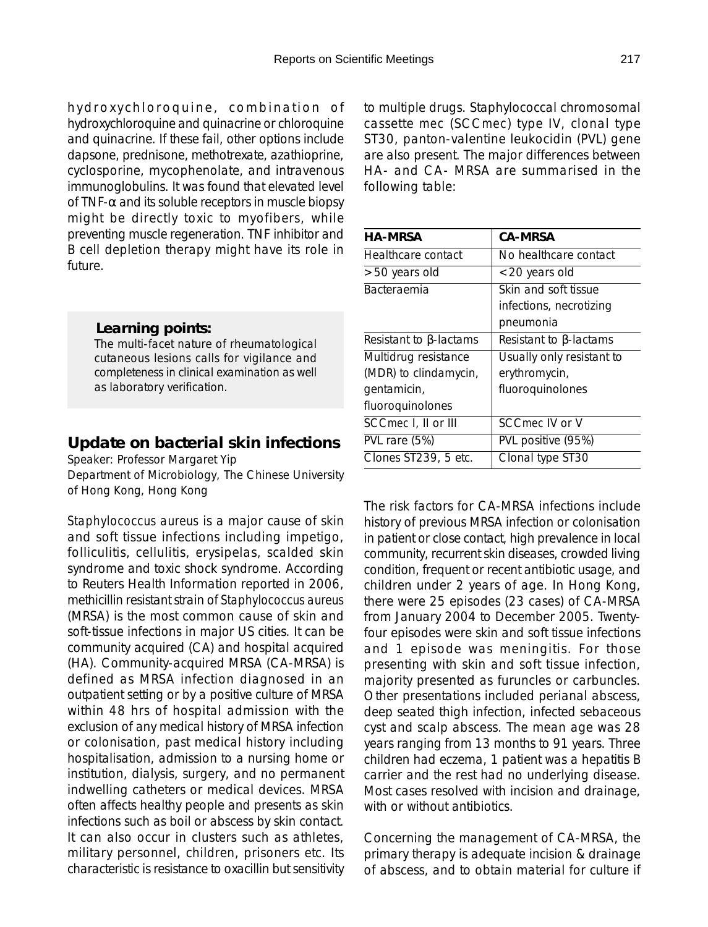hydroxychloroquine, combination of hydroxychloroquine and quinacrine or chloroquine and quinacrine. If these fail, other options include dapsone, prednisone, methotrexate, azathioprine, cyclosporine, mycophenolate, and intravenous immunoglobulins. It was found that elevated level of TNF- $\alpha$  and its soluble receptors in muscle biopsy might be directly toxic to myofibers, while preventing muscle regeneration. TNF inhibitor and B cell depletion therapy might have its role in future.

#### *Learning points:*

The multi-facet nature of rheumatological cutaneous lesions calls for vigilance and completeness in clinical examination as well as laboratory verification.

### **Update on bacterial skin infections**

Speaker: Professor Margaret Yip Department of Microbiology, The Chinese University of Hong Kong, Hong Kong

*Staphylococcus aureus* is a major cause of skin and soft tissue infections including impetigo, folliculitis, cellulitis, erysipelas, scalded skin syndrome and toxic shock syndrome. According to Reuters Health Information reported in 2006, methicillin resistant strain of *Staphylococcus aureus* (MRSA) is the most common cause of skin and soft-tissue infections in major US cities. It can be community acquired (CA) and hospital acquired (HA). Community-acquired MRSA (CA-MRSA) is defined as MRSA infection diagnosed in an outpatient setting or by a positive culture of MRSA within 48 hrs of hospital admission with the exclusion of any medical history of MRSA infection or colonisation, past medical history including hospitalisation, admission to a nursing home or institution, dialysis, surgery, and no permanent indwelling catheters or medical devices. MRSA often affects healthy people and presents as skin infections such as boil or abscess by skin contact. It can also occur in clusters such as athletes, military personnel, children, prisoners etc. Its characteristic is resistance to oxacillin but sensitivity to multiple drugs. Staphylococcal chromosomal cassette *mec* (SCC*mec*) type IV, clonal type ST30, panton-valentine leukocidin (PVL) gene are also present. The major differences between HA- and CA- MRSA are summarised in the following table:

| <b>HA-MRSA</b>                | <b>CA-MRSA</b>                |
|-------------------------------|-------------------------------|
| Healthcare contact            | No healthcare contact         |
| >50 years old                 | <20 years old                 |
| <b>Bacteraemia</b>            | Skin and soft tissue          |
|                               | infections, necrotizing       |
|                               | pneumonia                     |
| Resistant to $\beta$ -lactams | Resistant to $\beta$ -lactams |
| Multidrug resistance          | Usually only resistant to     |
| (MDR) to clindamycin,         | erythromycin,                 |
| gentamicin,                   | fluoroquinolones              |
| fluoroquinolones              |                               |
| SCC mec I, II or III          | SCC <i>mec</i> IV or V        |
| PVL rare (5%)                 | PVL positive (95%)            |
| Clones ST239, 5 etc.          | Clonal type ST30              |
|                               |                               |

The risk factors for CA-MRSA infections include history of previous MRSA infection or colonisation in patient or close contact, high prevalence in local community, recurrent skin diseases, crowded living condition, frequent or recent antibiotic usage, and children under 2 years of age. In Hong Kong, there were 25 episodes (23 cases) of CA-MRSA from January 2004 to December 2005. Twentyfour episodes were skin and soft tissue infections and 1 episode was meningitis. For those presenting with skin and soft tissue infection, majority presented as furuncles or carbuncles. Other presentations included perianal abscess, deep seated thigh infection, infected sebaceous cyst and scalp abscess. The mean age was 28 years ranging from 13 months to 91 years. Three children had eczema, 1 patient was a hepatitis B carrier and the rest had no underlying disease. Most cases resolved with incision and drainage, with or without antibiotics.

Concerning the management of CA-MRSA, the primary therapy is adequate incision & drainage of abscess, and to obtain material for culture if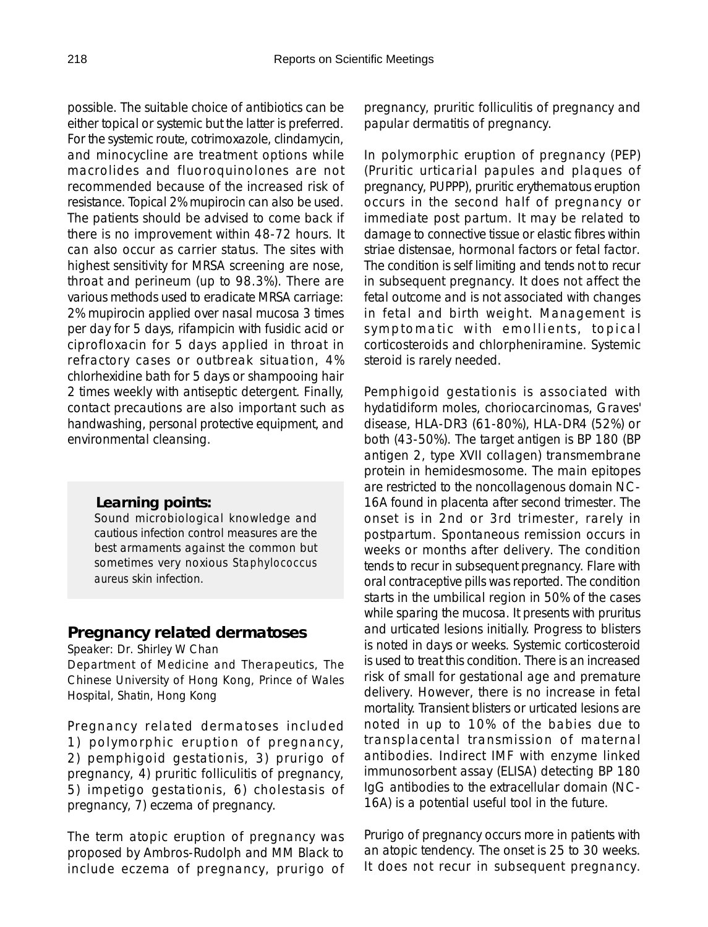possible. The suitable choice of antibiotics can be either topical or systemic but the latter is preferred. For the systemic route, cotrimoxazole, clindamycin, and minocycline are treatment options while macrolides and fluoroquinolones are not recommended because of the increased risk of resistance. Topical 2% mupirocin can also be used. The patients should be advised to come back if there is no improvement within 48-72 hours. It can also occur as carrier status. The sites with highest sensitivity for MRSA screening are nose, throat and perineum (up to 98.3%). There are various methods used to eradicate MRSA carriage: 2% mupirocin applied over nasal mucosa 3 times per day for 5 days, rifampicin with fusidic acid or ciprofloxacin for 5 days applied in throat in refractory cases or outbreak situation, 4% chlorhexidine bath for 5 days or shampooing hair 2 times weekly with antiseptic detergent. Finally, contact precautions are also important such as handwashing, personal protective equipment, and environmental cleansing.

### *Learning points:*

Sound microbiological knowledge and cautious infection control measures are the best armaments against the common but sometimes very noxious *Staphylococcus aureus* skin infection.

## **Pregnancy related dermatoses**

#### Speaker: Dr. Shirley W Chan

Department of Medicine and Therapeutics, The Chinese University of Hong Kong, Prince of Wales Hospital, Shatin, Hong Kong

Pregnancy related dermatoses included 1) polymorphic eruption of pregnancy, 2) pemphigoid gestationis, 3) prurigo of pregnancy, 4) pruritic folliculitis of pregnancy, 5) impetigo gestationis, 6) cholestasis of pregnancy, 7) eczema of pregnancy.

The term atopic eruption of pregnancy was proposed by Ambros-Rudolph and MM Black to include eczema of pregnancy, prurigo of pregnancy, pruritic folliculitis of pregnancy and papular dermatitis of pregnancy.

In polymorphic eruption of pregnancy (PEP) (Pruritic urticarial papules and plaques of pregnancy, PUPPP), pruritic erythematous eruption occurs in the second half of pregnancy or immediate post partum. It may be related to damage to connective tissue or elastic fibres within striae distensae, hormonal factors or fetal factor. The condition is self limiting and tends not to recur in subsequent pregnancy. It does not affect the fetal outcome and is not associated with changes in fetal and birth weight. Management is symptomatic with emollients, topical corticosteroids and chlorpheniramine. Systemic steroid is rarely needed.

Pemphigoid gestationis is associated with hydatidiform moles, choriocarcinomas, Graves' disease, HLA-DR3 (61-80%), HLA-DR4 (52%) or both (43-50%). The target antigen is BP 180 (BP antigen 2, type XVII collagen) transmembrane protein in hemidesmosome. The main epitopes are restricted to the noncollagenous domain NC-16A found in placenta after second trimester. The onset is in 2nd or 3rd trimester, rarely in postpartum. Spontaneous remission occurs in weeks or months after delivery. The condition tends to recur in subsequent pregnancy. Flare with oral contraceptive pills was reported. The condition starts in the umbilical region in 50% of the cases while sparing the mucosa. It presents with pruritus and urticated lesions initially. Progress to blisters is noted in days or weeks. Systemic corticosteroid is used to treat this condition. There is an increased risk of small for gestational age and premature delivery. However, there is no increase in fetal mortality. Transient blisters or urticated lesions are noted in up to 10% of the babies due to transplacental transmission of maternal antibodies. Indirect IMF with enzyme linked immunosorbent assay (ELISA) detecting BP 180 IgG antibodies to the extracellular domain (NC-16A) is a potential useful tool in the future.

Prurigo of pregnancy occurs more in patients with an atopic tendency. The onset is 25 to 30 weeks. It does not recur in subsequent pregnancy.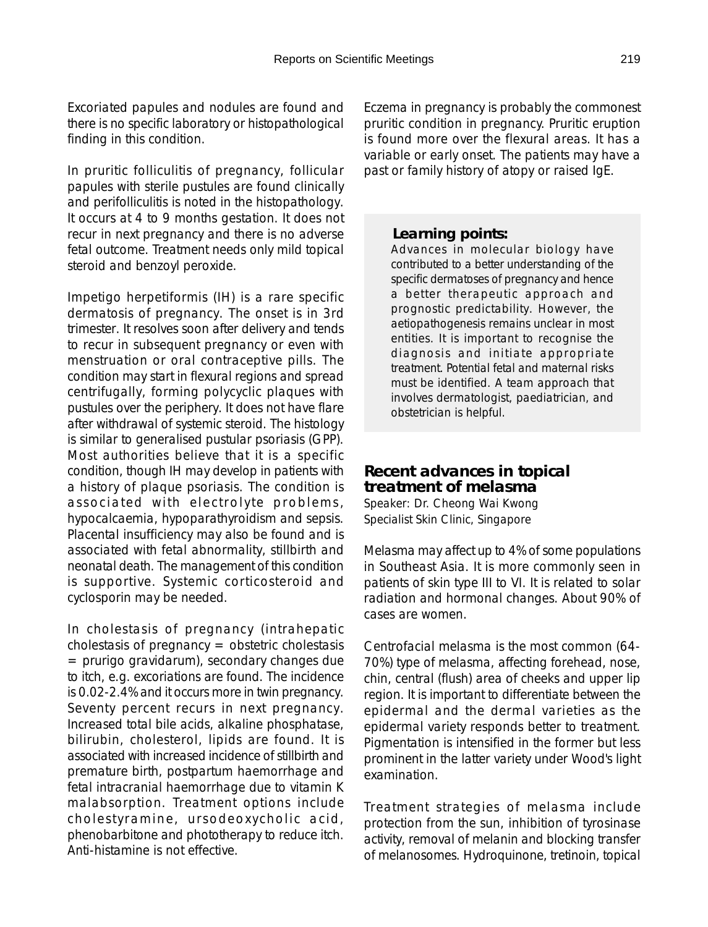Excoriated papules and nodules are found and there is no specific laboratory or histopathological finding in this condition.

In pruritic folliculitis of pregnancy, follicular papules with sterile pustules are found clinically and perifolliculitis is noted in the histopathology. It occurs at 4 to 9 months gestation. It does not recur in next pregnancy and there is no adverse fetal outcome. Treatment needs only mild topical steroid and benzoyl peroxide.

Impetigo herpetiformis (IH) is a rare specific dermatosis of pregnancy. The onset is in 3rd trimester. It resolves soon after delivery and tends to recur in subsequent pregnancy or even with menstruation or oral contraceptive pills. The condition may start in flexural regions and spread centrifugally, forming polycyclic plaques with pustules over the periphery. It does not have flare after withdrawal of systemic steroid. The histology is similar to generalised pustular psoriasis (GPP). Most authorities believe that it is a specific condition, though IH may develop in patients with a history of plaque psoriasis. The condition is associated with electrolyte problems, hypocalcaemia, hypoparathyroidism and sepsis. Placental insufficiency may also be found and is associated with fetal abnormality, stillbirth and neonatal death. The management of this condition is supportive. Systemic corticosteroid and cyclosporin may be needed.

In cholestasis of pregnancy (intrahepatic cholestasis of pregnancy  $=$  obstetric cholestasis  $=$  prurigo gravidarum), secondary changes due to itch, e.g. excoriations are found. The incidence is 0.02-2.4% and it occurs more in twin pregnancy. Seventy percent recurs in next pregnancy. Increased total bile acids, alkaline phosphatase, bilirubin, cholesterol, lipids are found. It is associated with increased incidence of stillbirth and premature birth, postpartum haemorrhage and fetal intracranial haemorrhage due to vitamin K malabsorption. Treatment options include cholestyramine, ursodeoxycholic acid, phenobarbitone and phototherapy to reduce itch. Anti-histamine is not effective.

Eczema in pregnancy is probably the commonest pruritic condition in pregnancy. Pruritic eruption is found more over the flexural areas. It has a variable or early onset. The patients may have a past or family history of atopy or raised IgE.

#### *Learning points:*

Advances in molecular biology have contributed to a better understanding of the specific dermatoses of pregnancy and hence a better therapeutic approach and prognostic predictability. However, the aetiopathogenesis remains unclear in most entities. It is important to recognise the diagnosis and initiate appropriate treatment. Potential fetal and maternal risks must be identified. A team approach that involves dermatologist, paediatrician, and obstetrician is helpful.

### **Recent advances in topical treatment of melasma**

Speaker: Dr. Cheong Wai Kwong Specialist Skin Clinic, Singapore

Melasma may affect up to 4% of some populations in Southeast Asia. It is more commonly seen in patients of skin type III to VI. It is related to solar radiation and hormonal changes. About 90% of cases are women.

Centrofacial melasma is the most common (64- 70%) type of melasma, affecting forehead, nose, chin, central (flush) area of cheeks and upper lip region. It is important to differentiate between the epidermal and the dermal varieties as the epidermal variety responds better to treatment. Pigmentation is intensified in the former but less prominent in the latter variety under Wood's light examination.

Treatment strategies of melasma include protection from the sun, inhibition of tyrosinase activity, removal of melanin and blocking transfer of melanosomes. Hydroquinone, tretinoin, topical